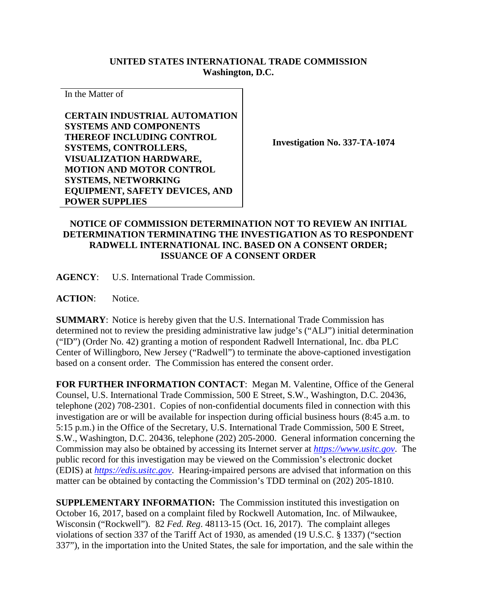## **UNITED STATES INTERNATIONAL TRADE COMMISSION Washington, D.C.**

In the Matter of

**CERTAIN INDUSTRIAL AUTOMATION SYSTEMS AND COMPONENTS THEREOF INCLUDING CONTROL SYSTEMS, CONTROLLERS, VISUALIZATION HARDWARE, MOTION AND MOTOR CONTROL SYSTEMS, NETWORKING EQUIPMENT, SAFETY DEVICES, AND POWER SUPPLIES**

**Investigation No. 337-TA-1074**

## **NOTICE OF COMMISSION DETERMINATION NOT TO REVIEW AN INITIAL DETERMINATION TERMINATING THE INVESTIGATION AS TO RESPONDENT RADWELL INTERNATIONAL INC. BASED ON A CONSENT ORDER; ISSUANCE OF A CONSENT ORDER**

**AGENCY**: U.S. International Trade Commission.

**ACTION**: Notice.

**SUMMARY**: Notice is hereby given that the U.S. International Trade Commission has determined not to review the presiding administrative law judge's ("ALJ") initial determination ("ID") (Order No. 42) granting a motion of respondent Radwell International, Inc. dba PLC Center of Willingboro, New Jersey ("Radwell") to terminate the above-captioned investigation based on a consent order. The Commission has entered the consent order.

**FOR FURTHER INFORMATION CONTACT**: Megan M. Valentine, Office of the General Counsel, U.S. International Trade Commission, 500 E Street, S.W., Washington, D.C. 20436, telephone (202) 708-2301. Copies of non-confidential documents filed in connection with this investigation are or will be available for inspection during official business hours (8:45 a.m. to 5:15 p.m.) in the Office of the Secretary, U.S. International Trade Commission, 500 E Street, S.W., Washington, D.C. 20436, telephone (202) 205-2000. General information concerning the Commission may also be obtained by accessing its Internet server at *[https://www.usitc.gov](https://www.usitc.gov/)*. The public record for this investigation may be viewed on the Commission's electronic docket (EDIS) at *[https://edis.usitc.gov](https://edis.usitc.gov/)*. Hearing-impaired persons are advised that information on this matter can be obtained by contacting the Commission's TDD terminal on (202) 205-1810.

**SUPPLEMENTARY INFORMATION:** The Commission instituted this investigation on October 16, 2017, based on a complaint filed by Rockwell Automation, Inc. of Milwaukee, Wisconsin ("Rockwell"). 82 *Fed. Reg*. 48113-15 (Oct. 16, 2017). The complaint alleges violations of section 337 of the Tariff Act of 1930, as amended (19 U.S.C. § 1337) ("section 337"), in the importation into the United States, the sale for importation, and the sale within the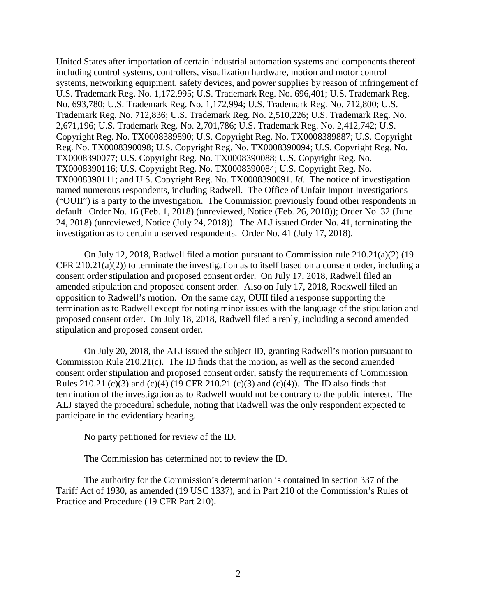United States after importation of certain industrial automation systems and components thereof including control systems, controllers, visualization hardware, motion and motor control systems, networking equipment, safety devices, and power supplies by reason of infringement of U.S. Trademark Reg. No. 1,172,995; U.S. Trademark Reg. No. 696,401; U.S. Trademark Reg. No. 693,780; U.S. Trademark Reg. No. 1,172,994; U.S. Trademark Reg. No. 712,800; U.S. Trademark Reg. No. 712,836; U.S. Trademark Reg. No. 2,510,226; U.S. Trademark Reg. No. 2,671,196; U.S. Trademark Reg. No. 2,701,786; U.S. Trademark Reg. No. 2,412,742; U.S. Copyright Reg. No. TX0008389890; U.S. Copyright Reg. No. TX0008389887; U.S. Copyright Reg. No. TX0008390098; U.S. Copyright Reg. No. TX0008390094; U.S. Copyright Reg. No. TX0008390077; U.S. Copyright Reg. No. TX0008390088; U.S. Copyright Reg. No. TX0008390116; U.S. Copyright Reg. No. TX0008390084; U.S. Copyright Reg. No. TX0008390111; and U.S. Copyright Reg. No. TX0008390091. *Id.* The notice of investigation named numerous respondents, including Radwell. The Office of Unfair Import Investigations ("OUII") is a party to the investigation. The Commission previously found other respondents in default. Order No. 16 (Feb. 1, 2018) (unreviewed, Notice (Feb. 26, 2018)); Order No. 32 (June 24, 2018) (unreviewed, Notice (July 24, 2018)). The ALJ issued Order No. 41, terminating the investigation as to certain unserved respondents. Order No. 41 (July 17, 2018).

On July 12, 2018, Radwell filed a motion pursuant to Commission rule 210.21(a)(2) (19 CFR 210.21(a)(2)) to terminate the investigation as to itself based on a consent order, including a consent order stipulation and proposed consent order. On July 17, 2018, Radwell filed an amended stipulation and proposed consent order. Also on July 17, 2018, Rockwell filed an opposition to Radwell's motion. On the same day, OUII filed a response supporting the termination as to Radwell except for noting minor issues with the language of the stipulation and proposed consent order. On July 18, 2018, Radwell filed a reply, including a second amended stipulation and proposed consent order.

On July 20, 2018, the ALJ issued the subject ID, granting Radwell's motion pursuant to Commission Rule 210.21(c). The ID finds that the motion, as well as the second amended consent order stipulation and proposed consent order, satisfy the requirements of Commission Rules 210.21 (c)(3) and (c)(4) (19 CFR 210.21 (c)(3) and (c)(4)). The ID also finds that termination of the investigation as to Radwell would not be contrary to the public interest. The ALJ stayed the procedural schedule, noting that Radwell was the only respondent expected to participate in the evidentiary hearing.

No party petitioned for review of the ID.

The Commission has determined not to review the ID.

The authority for the Commission's determination is contained in section 337 of the Tariff Act of 1930, as amended (19 USC 1337), and in Part 210 of the Commission's Rules of Practice and Procedure (19 CFR Part 210).